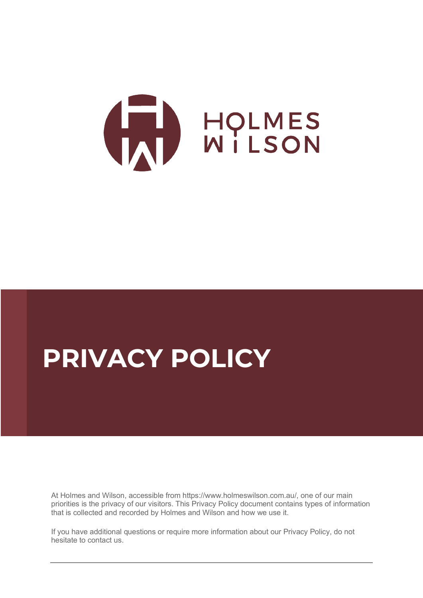

# **PRIVACY POLICY**

At Holmes and Wilson, accessible from https://www.holmeswilson.com.au/, one of our main priorities is the privacy of our visitors. This Privacy Policy document contains types of information that is collected and recorded by Holmes and Wilson and how we use it.

If you have additional questions or require more information about our Privacy Policy, do not hesitate to contact us.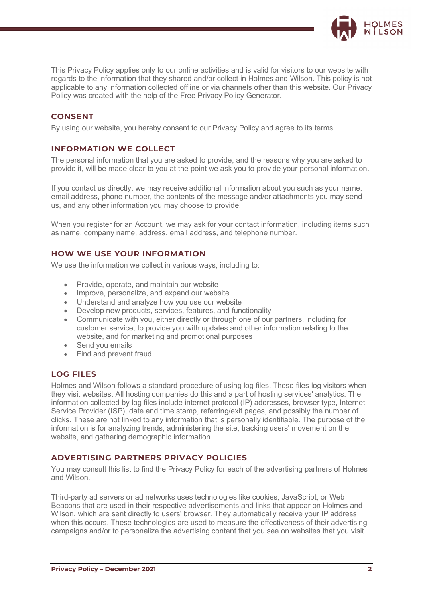

This Privacy Policy applies only to our online activities and is valid for visitors to our website with regards to the information that they shared and/or collect in Holmes and Wilson. This policy is not applicable to any information collected offline or via channels other than this website. Our Privacy Policy was created with the help of the [Free Privacy Policy Generator.](https://www.privacypolicygenerator.info/)

## **CONSENT**

By using our website, you hereby consent to our Privacy Policy and agree to its terms.

## **INFORMATION WE COLLECT**

The personal information that you are asked to provide, and the reasons why you are asked to provide it, will be made clear to you at the point we ask you to provide your personal information.

If you contact us directly, we may receive additional information about you such as your name, email address, phone number, the contents of the message and/or attachments you may send us, and any other information you may choose to provide.

When you register for an Account, we may ask for your contact information, including items such as name, company name, address, email address, and telephone number.

## **HOW WE USE YOUR INFORMATION**

We use the information we collect in various ways, including to:

- Provide, operate, and maintain our website
- Improve, personalize, and expand our website
- Understand and analyze how you use our website
- Develop new products, services, features, and functionality
- Communicate with you, either directly or through one of our partners, including for customer service, to provide you with updates and other information relating to the website, and for marketing and promotional purposes
- Send you emails
- Find and prevent fraud

### **LOG FILES**

Holmes and Wilson follows a standard procedure of using log files. These files log visitors when they visit websites. All hosting companies do this and a part of hosting services' analytics. The information collected by log files include internet protocol (IP) addresses, browser type, Internet Service Provider (ISP), date and time stamp, referring/exit pages, and possibly the number of clicks. These are not linked to any information that is personally identifiable. The purpose of the information is for analyzing trends, administering the site, tracking users' movement on the website, and gathering demographic information.

### **ADVERTISING PARTNERS PRIVACY POLICIES**

You may consult this list to find the Privacy Policy for each of the advertising partners of Holmes and Wilson.

Third-party ad servers or ad networks uses technologies like cookies, JavaScript, or Web Beacons that are used in their respective advertisements and links that appear on Holmes and Wilson, which are sent directly to users' browser. They automatically receive your IP address when this occurs. These technologies are used to measure the effectiveness of their advertising campaigns and/or to personalize the advertising content that you see on websites that you visit.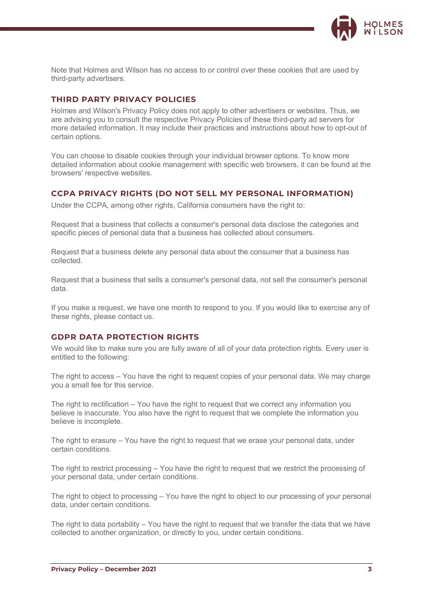

Note that Holmes and Wilson has no access to or control over these cookies that are used by third-party advertisers.

#### **THIRD PARTY PRIVACY POLICIES**

Holmes and Wilson's Privacy Policy does not apply to other advertisers or websites. Thus, we are advising you to consult the respective Privacy Policies of these third-party ad servers for more detailed information. It may include their practices and instructions about how to opt-out of certain options.

You can choose to disable cookies through your individual browser options. To know more detailed information about cookie management with specific web browsers, it can be found at the browsers' respective websites.

#### **CCPA PRIVACY RIGHTS (DO NOT SELL MY PERSONAL INFORMATION)**

Under the CCPA, among other rights, California consumers have the right to:

Request that a business that collects a consumer's personal data disclose the categories and specific pieces of personal data that a business has collected about consumers.

Request that a business delete any personal data about the consumer that a business has collected.

Request that a business that sells a consumer's personal data, not sell the consumer's personal data.

If you make a request, we have one month to respond to you. If you would like to exercise any of these rights, please contact us.

#### **GDPR DATA PROTECTION RIGHTS**

We would like to make sure you are fully aware of all of your data protection rights. Every user is entitled to the following:

The right to access – You have the right to request copies of your personal data. We may charge you a small fee for this service.

The right to rectification – You have the right to request that we correct any information you believe is inaccurate. You also have the right to request that we complete the information you believe is incomplete.

The right to erasure – You have the right to request that we erase your personal data, under certain conditions.

The right to restrict processing – You have the right to request that we restrict the processing of your personal data, under certain conditions.

The right to object to processing – You have the right to object to our processing of your personal data, under certain conditions.

The right to data portability – You have the right to request that we transfer the data that we have collected to another organization, or directly to you, under certain conditions.